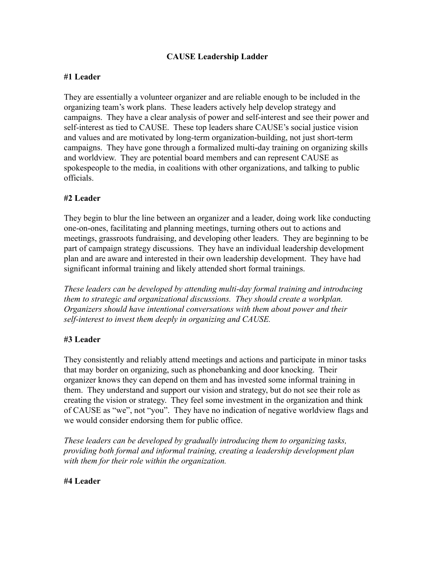# **CAUSE Leadership Ladder**

## **#1 Leader**

They are essentially a volunteer organizer and are reliable enough to be included in the organizing team's work plans. These leaders actively help develop strategy and campaigns. They have a clear analysis of power and self-interest and see their power and self-interest as tied to CAUSE. These top leaders share CAUSE's social justice vision and values and are motivated by long-term organization-building, not just short-term campaigns. They have gone through a formalized multi-day training on organizing skills and worldview. They are potential board members and can represent CAUSE as spokespeople to the media, in coalitions with other organizations, and talking to public officials.

#### **#2 Leader**

They begin to blur the line between an organizer and a leader, doing work like conducting one-on-ones, facilitating and planning meetings, turning others out to actions and meetings, grassroots fundraising, and developing other leaders. They are beginning to be part of campaign strategy discussions. They have an individual leadership development plan and are aware and interested in their own leadership development. They have had significant informal training and likely attended short formal trainings.

*These leaders can be developed by attending multi-day formal training and introducing them to strategic and organizational discussions. They should create a workplan. Organizers should have intentional conversations with them about power and their self-interest to invest them deeply in organizing and CAUSE.*

#### **#3 Leader**

They consistently and reliably attend meetings and actions and participate in minor tasks that may border on organizing, such as phonebanking and door knocking. Their organizer knows they can depend on them and has invested some informal training in them. They understand and support our vision and strategy, but do not see their role as creating the vision or strategy. They feel some investment in the organization and think of CAUSE as "we", not "you". They have no indication of negative worldview flags and we would consider endorsing them for public office.

*These leaders can be developed by gradually introducing them to organizing tasks, providing both formal and informal training, creating a leadership development plan with them for their role within the organization.*

#### **#4 Leader**